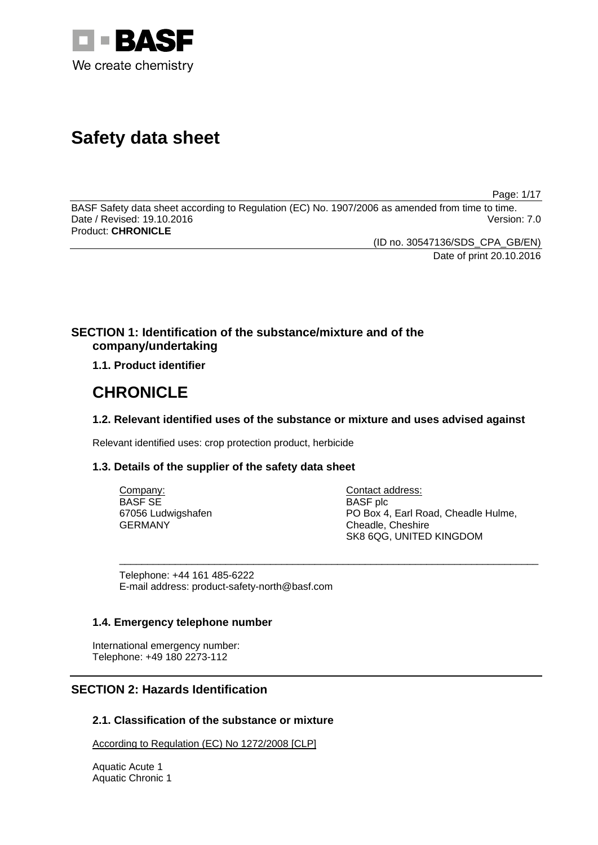

# **Safety data sheet**

Page: 1/17

BASF Safety data sheet according to Regulation (EC) No. 1907/2006 as amended from time to time. Date / Revised: 19.10.2016 Version: 7.0 Product: **CHRONICLE**

> (ID no. 30547136/SDS\_CPA\_GB/EN) Date of print 20.10.2016

# **SECTION 1: Identification of the substance/mixture and of the company/undertaking**

**1.1. Product identifier**

# **CHRONICLE**

# **1.2. Relevant identified uses of the substance or mixture and uses advised against**

Relevant identified uses: crop protection product, herbicide

### **1.3. Details of the supplier of the safety data sheet**

| Company:           | Contact address:                    |
|--------------------|-------------------------------------|
| BASF SE            | <b>BASF</b> plc                     |
| 67056 Ludwigshafen | PO Box 4, Earl Road, Cheadle Hulme, |
| GERMANY            | Cheadle, Cheshire                   |
|                    | SK8 6QG, UNITED KINGDOM             |

\_\_\_\_\_\_\_\_\_\_\_\_\_\_\_\_\_\_\_\_\_\_\_\_\_\_\_\_\_\_\_\_\_\_\_\_\_\_\_\_\_\_\_\_\_\_\_\_\_\_\_\_\_\_\_\_\_\_\_\_\_\_\_\_\_\_\_\_\_\_\_\_\_\_\_

Telephone: +44 161 485-6222 E-mail address: product-safety-north@basf.com

### **1.4. Emergency telephone number**

International emergency number: Telephone: +49 180 2273-112

# **SECTION 2: Hazards Identification**

# **2.1. Classification of the substance or mixture**

According to Regulation (EC) No 1272/2008 [CLP]

Aquatic Acute 1 Aquatic Chronic 1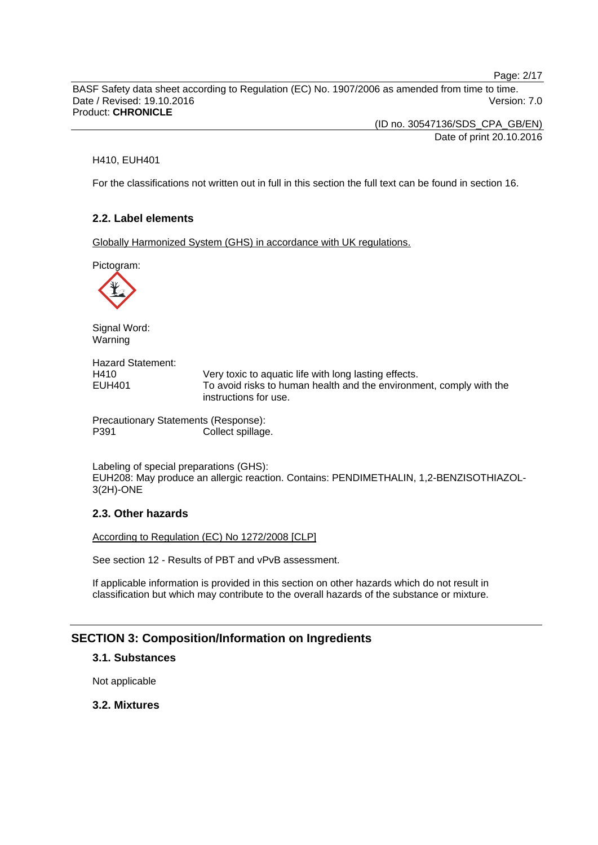Page: 2/17

BASF Safety data sheet according to Regulation (EC) No. 1907/2006 as amended from time to time. Date / Revised: 19.10.2016 **Version: 7.0** Product: **CHRONICLE**

> (ID no. 30547136/SDS\_CPA\_GB/EN) Date of print 20.10.2016

### H410, EUH401

For the classifications not written out in full in this section the full text can be found in section 16.

# **2.2. Label elements**

Globally Harmonized System (GHS) in accordance with UK regulations.

Pictogram:



Signal Word: Warning

Hazard Statement: H410 Very toxic to aquatic life with long lasting effects. EUH401 To avoid risks to human health and the environment, comply with the instructions for use.

Precautionary Statements (Response): P391 Collect spillage.

Labeling of special preparations (GHS): EUH208: May produce an allergic reaction. Contains: PENDIMETHALIN, 1,2-BENZISOTHIAZOL-3(2H)-ONE

### **2.3. Other hazards**

According to Regulation (EC) No 1272/2008 [CLP]

See section 12 - Results of PBT and vPvB assessment.

If applicable information is provided in this section on other hazards which do not result in classification but which may contribute to the overall hazards of the substance or mixture.

# **SECTION 3: Composition/Information on Ingredients**

# **3.1. Substances**

Not applicable

### **3.2. Mixtures**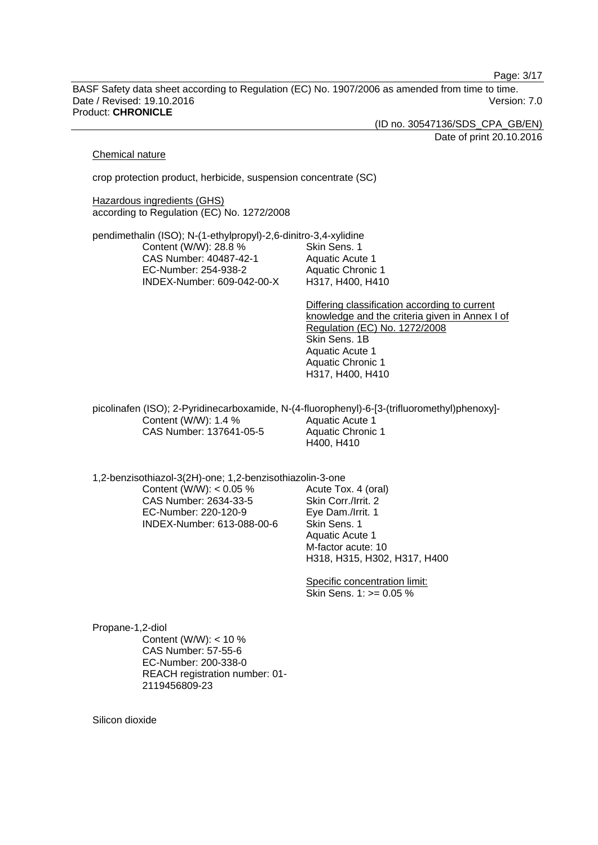Page: 3/17

BASF Safety data sheet according to Regulation (EC) No. 1907/2006 as amended from time to time. Date / Revised: 19.10.2016 **Version: 7.0** Product: **CHRONICLE**

(ID no. 30547136/SDS\_CPA\_GB/EN)

Date of print 20.10.2016

#### Chemical nature

crop protection product, herbicide, suspension concentrate (SC)

Hazardous ingredients (GHS) according to Regulation (EC) No. 1272/2008

pendimethalin (ISO); N-(1-ethylpropyl)-2,6-dinitro-3,4-xylidine Content (W/W): 28.8 % CAS Number: 40487-42-1 EC-Number: 254-938-2 INDEX-Number: 609-042-00-X Skin Sens. 1 Aquatic Acute 1 Aquatic Chronic 1 H317, H400, H410

> Differing classification according to current knowledge and the criteria given in Annex I of Regulation (EC) No. 1272/2008 Skin Sens. 1B Aquatic Acute 1 Aquatic Chronic 1 H317, H400, H410

picolinafen (ISO); 2-Pyridinecarboxamide, N-(4-fluorophenyl)-6-[3-(trifluoromethyl)phenoxy]- Content (W/W): 1.4 % CAS Number: 137641-05-5 Aquatic Acute 1 Aquatic Chronic 1 H400, H410

1,2-benzisothiazol-3(2H)-one; 1,2-benzisothiazolin-3-one Content (W/W):  $< 0.05$  % CAS Number: 2634-33-5

> EC-Number: 220-120-9 INDEX-Number: 613-088-00-6

Acute Tox. 4 (oral) Skin Corr./Irrit. 2 Eye Dam./Irrit. 1 Skin Sens. 1 Aquatic Acute 1 M-factor acute: 10 H318, H315, H302, H317, H400

Specific concentration limit: Skin Sens. 1: >= 0.05 %

Propane-1,2-diol Content (W/W): < 10 % CAS Number: 57-55-6 EC-Number: 200-338-0 REACH registration number: 01- 2119456809-23

Silicon dioxide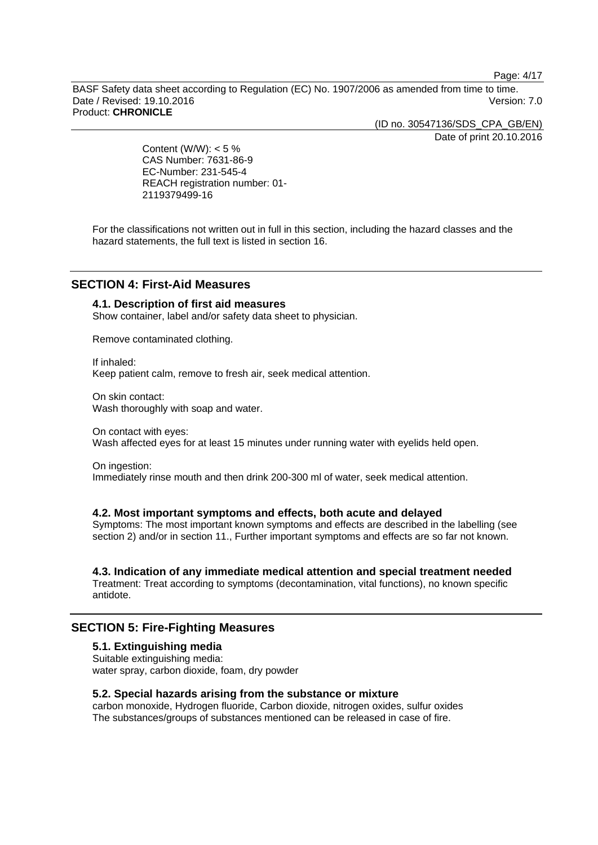Page: 4/17

BASF Safety data sheet according to Regulation (EC) No. 1907/2006 as amended from time to time. Date / Revised: 19.10.2016 **Version: 7.0** Product: **CHRONICLE**

(ID no. 30547136/SDS\_CPA\_GB/EN)

Date of print 20.10.2016

Content (W/W):  $< 5 \%$ CAS Number: 7631-86-9 EC-Number: 231-545-4 REACH registration number: 01- 2119379499-16

For the classifications not written out in full in this section, including the hazard classes and the hazard statements, the full text is listed in section 16.

# **SECTION 4: First-Aid Measures**

# **4.1. Description of first aid measures**

Show container, label and/or safety data sheet to physician.

Remove contaminated clothing.

If inhaled: Keep patient calm, remove to fresh air, seek medical attention.

On skin contact: Wash thoroughly with soap and water.

On contact with eyes: Wash affected eyes for at least 15 minutes under running water with eyelids held open.

On ingestion: Immediately rinse mouth and then drink 200-300 ml of water, seek medical attention.

### **4.2. Most important symptoms and effects, both acute and delayed**

Symptoms: The most important known symptoms and effects are described in the labelling (see section 2) and/or in section 11., Further important symptoms and effects are so far not known.

### **4.3. Indication of any immediate medical attention and special treatment needed**

Treatment: Treat according to symptoms (decontamination, vital functions), no known specific antidote.

# **SECTION 5: Fire-Fighting Measures**

### **5.1. Extinguishing media**

Suitable extinguishing media: water spray, carbon dioxide, foam, dry powder

### **5.2. Special hazards arising from the substance or mixture**

carbon monoxide, Hydrogen fluoride, Carbon dioxide, nitrogen oxides, sulfur oxides The substances/groups of substances mentioned can be released in case of fire.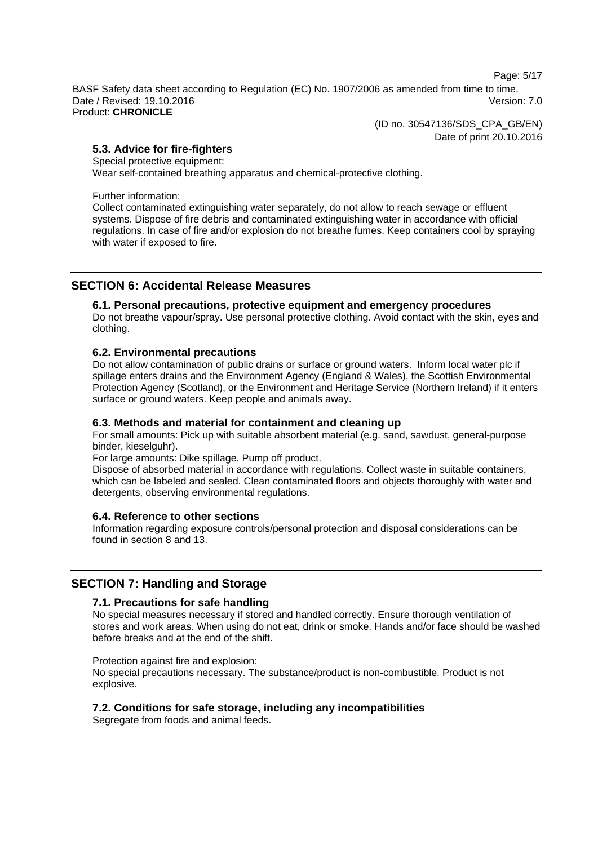Page: 5/17

BASF Safety data sheet according to Regulation (EC) No. 1907/2006 as amended from time to time. Date / Revised: 19.10.2016 Version: 7.0 Product: **CHRONICLE**

(ID no. 30547136/SDS\_CPA\_GB/EN)

Date of print 20.10.2016

# **5.3. Advice for fire-fighters**

Special protective equipment:

Wear self-contained breathing apparatus and chemical-protective clothing.

Further information:

Collect contaminated extinguishing water separately, do not allow to reach sewage or effluent systems. Dispose of fire debris and contaminated extinguishing water in accordance with official regulations. In case of fire and/or explosion do not breathe fumes. Keep containers cool by spraying with water if exposed to fire.

# **SECTION 6: Accidental Release Measures**

### **6.1. Personal precautions, protective equipment and emergency procedures**

Do not breathe vapour/spray. Use personal protective clothing. Avoid contact with the skin, eyes and clothing.

### **6.2. Environmental precautions**

Do not allow contamination of public drains or surface or ground waters. Inform local water plc if spillage enters drains and the Environment Agency (England & Wales), the Scottish Environmental Protection Agency (Scotland), or the Environment and Heritage Service (Northern Ireland) if it enters surface or ground waters. Keep people and animals away.

### **6.3. Methods and material for containment and cleaning up**

For small amounts: Pick up with suitable absorbent material (e.g. sand, sawdust, general-purpose binder, kieselguhr).

For large amounts: Dike spillage. Pump off product.

Dispose of absorbed material in accordance with regulations. Collect waste in suitable containers, which can be labeled and sealed. Clean contaminated floors and objects thoroughly with water and detergents, observing environmental regulations.

# **6.4. Reference to other sections**

Information regarding exposure controls/personal protection and disposal considerations can be found in section 8 and 13.

# **SECTION 7: Handling and Storage**

### **7.1. Precautions for safe handling**

No special measures necessary if stored and handled correctly. Ensure thorough ventilation of stores and work areas. When using do not eat, drink or smoke. Hands and/or face should be washed before breaks and at the end of the shift.

Protection against fire and explosion:

No special precautions necessary. The substance/product is non-combustible. Product is not explosive.

### **7.2. Conditions for safe storage, including any incompatibilities**

Segregate from foods and animal feeds.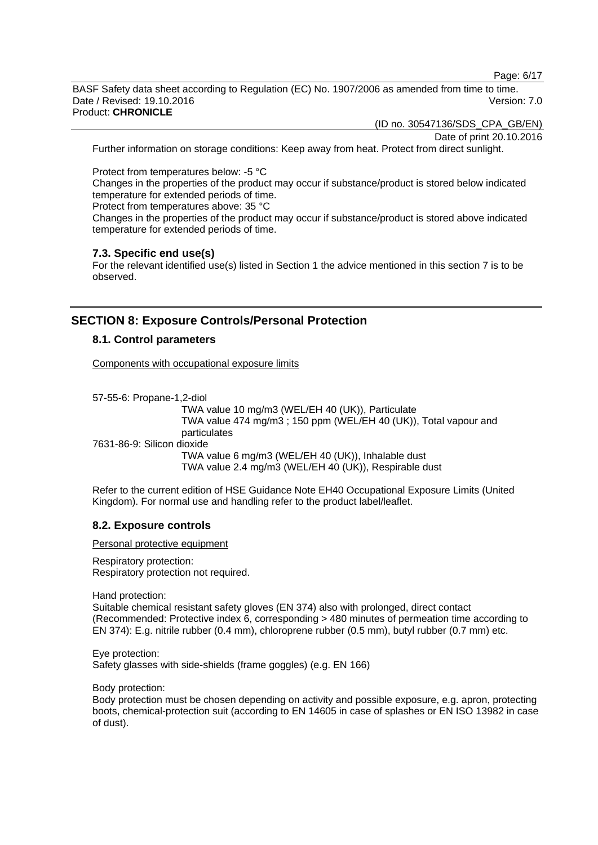Page: 6/17

BASF Safety data sheet according to Regulation (EC) No. 1907/2006 as amended from time to time. Date / Revised: 19.10.2016 **Version: 7.0** Product: **CHRONICLE**

(ID no. 30547136/SDS\_CPA\_GB/EN)

Date of print 20.10.2016

Further information on storage conditions: Keep away from heat. Protect from direct sunlight.

Protect from temperatures below: -5 °C

Changes in the properties of the product may occur if substance/product is stored below indicated temperature for extended periods of time.

Protect from temperatures above: 35 °C

Changes in the properties of the product may occur if substance/product is stored above indicated temperature for extended periods of time.

### **7.3. Specific end use(s)**

For the relevant identified use(s) listed in Section 1 the advice mentioned in this section 7 is to be observed.

# **SECTION 8: Exposure Controls/Personal Protection**

### **8.1. Control parameters**

Components with occupational exposure limits

57-55-6: Propane-1,2-diol TWA value 10 mg/m3 (WEL/EH 40 (UK)), Particulate TWA value 474 mg/m3 ; 150 ppm (WEL/EH 40 (UK)), Total vapour and particulates 7631-86-9: Silicon dioxide TWA value 6 mg/m3 (WEL/EH 40 (UK)), Inhalable dust TWA value 2.4 mg/m3 (WEL/EH 40 (UK)), Respirable dust

Refer to the current edition of HSE Guidance Note EH40 Occupational Exposure Limits (United Kingdom). For normal use and handling refer to the product label/leaflet.

### **8.2. Exposure controls**

Personal protective equipment

Respiratory protection: Respiratory protection not required.

Hand protection:

Suitable chemical resistant safety gloves (EN 374) also with prolonged, direct contact (Recommended: Protective index 6, corresponding > 480 minutes of permeation time according to EN 374): E.g. nitrile rubber (0.4 mm), chloroprene rubber (0.5 mm), butyl rubber (0.7 mm) etc.

Eye protection: Safety glasses with side-shields (frame goggles) (e.g. EN 166)

Body protection:

Body protection must be chosen depending on activity and possible exposure, e.g. apron, protecting boots, chemical-protection suit (according to EN 14605 in case of splashes or EN ISO 13982 in case of dust).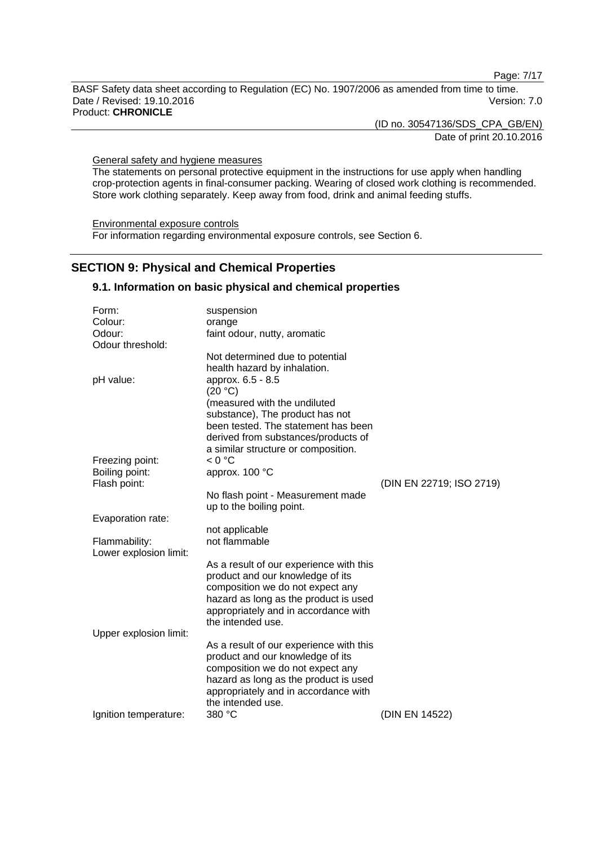Page: 7/17

BASF Safety data sheet according to Regulation (EC) No. 1907/2006 as amended from time to time. Date / Revised: 19.10.2016 Version: 7.0 Product: **CHRONICLE**

> (ID no. 30547136/SDS\_CPA\_GB/EN) Date of print 20.10.2016

General safety and hygiene measures

The statements on personal protective equipment in the instructions for use apply when handling crop-protection agents in final-consumer packing. Wearing of closed work clothing is recommended. Store work clothing separately. Keep away from food, drink and animal feeding stuffs.

Environmental exposure controls For information regarding environmental exposure controls, see Section 6.

# **SECTION 9: Physical and Chemical Properties**

### **9.1. Information on basic physical and chemical properties**

| Form:                  | suspension                                                    |                          |
|------------------------|---------------------------------------------------------------|--------------------------|
| Colour:                | orange                                                        |                          |
| Odour:                 | faint odour, nutty, aromatic                                  |                          |
| Odour threshold:       |                                                               |                          |
|                        | Not determined due to potential                               |                          |
|                        | health hazard by inhalation.                                  |                          |
| pH value:              | approx. 6.5 - 8.5                                             |                          |
|                        | (20 °C)                                                       |                          |
|                        | (measured with the undiluted                                  |                          |
|                        | substance), The product has not                               |                          |
|                        | been tested. The statement has been                           |                          |
|                        | derived from substances/products of                           |                          |
|                        | a similar structure or composition.                           |                          |
| Freezing point:        | < 0 °C                                                        |                          |
| Boiling point:         | approx. 100 °C                                                |                          |
| Flash point:           |                                                               | (DIN EN 22719; ISO 2719) |
|                        | No flash point - Measurement made<br>up to the boiling point. |                          |
| Evaporation rate:      |                                                               |                          |
|                        | not applicable                                                |                          |
| Flammability:          | not flammable                                                 |                          |
| Lower explosion limit: |                                                               |                          |
|                        | As a result of our experience with this                       |                          |
|                        | product and our knowledge of its                              |                          |
|                        | composition we do not expect any                              |                          |
|                        | hazard as long as the product is used                         |                          |
|                        | appropriately and in accordance with                          |                          |
|                        | the intended use.                                             |                          |
| Upper explosion limit: |                                                               |                          |
|                        | As a result of our experience with this                       |                          |
|                        | product and our knowledge of its                              |                          |
|                        | composition we do not expect any                              |                          |
|                        | hazard as long as the product is used                         |                          |
|                        | appropriately and in accordance with                          |                          |
|                        | the intended use.                                             |                          |
| Ignition temperature:  | 380 °C                                                        | (DIN EN 14522)           |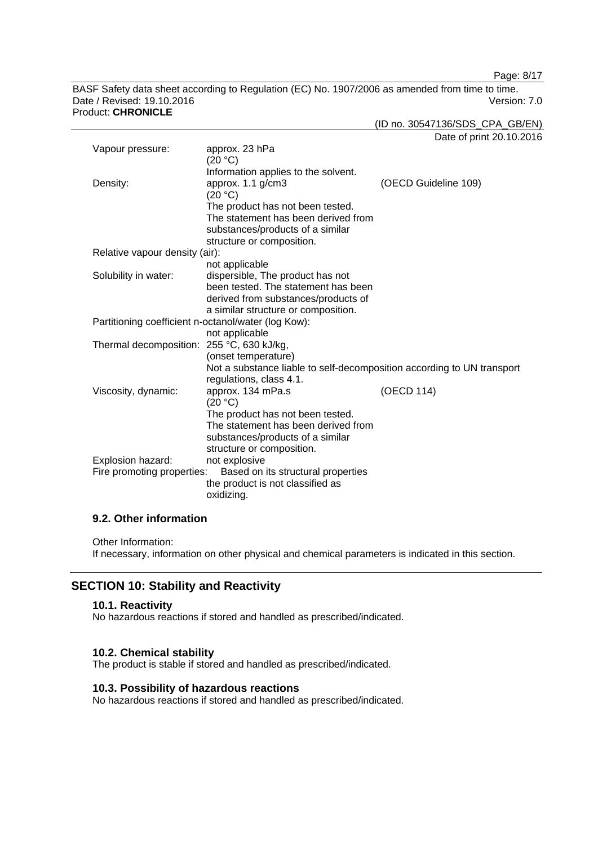Page: 8/17

BASF Safety data sheet according to Regulation (EC) No. 1907/2006 as amended from time to time. Date / Revised: 19.10.2016 Version: 7.0 Product: **CHRONICLE**

(ID no. 30547136/SDS\_CPA\_GB/EN)

Date of print 20.10.2016

| Vapour pressure:                                    | approx. 23 hPa                                                         |                      |
|-----------------------------------------------------|------------------------------------------------------------------------|----------------------|
|                                                     | (20 °C)                                                                |                      |
|                                                     | Information applies to the solvent.                                    |                      |
| Density:                                            | approx. $1.1$ g/cm $3$                                                 | (OECD Guideline 109) |
|                                                     | (20 °C)                                                                |                      |
|                                                     | The product has not been tested.                                       |                      |
|                                                     | The statement has been derived from                                    |                      |
|                                                     | substances/products of a similar                                       |                      |
|                                                     | structure or composition.                                              |                      |
| Relative vapour density (air):                      |                                                                        |                      |
|                                                     | not applicable                                                         |                      |
| Solubility in water:                                | dispersible, The product has not                                       |                      |
|                                                     | been tested. The statement has been                                    |                      |
|                                                     | derived from substances/products of                                    |                      |
|                                                     | a similar structure or composition.                                    |                      |
| Partitioning coefficient n-octanol/water (log Kow): |                                                                        |                      |
|                                                     | not applicable                                                         |                      |
| Thermal decomposition: 255 °C, 630 kJ/kg,           |                                                                        |                      |
|                                                     | (onset temperature)                                                    |                      |
|                                                     | Not a substance liable to self-decomposition according to UN transport |                      |
|                                                     | regulations, class 4.1.                                                |                      |
| Viscosity, dynamic:                                 | approx. 134 mPa.s                                                      | (OECD 114)           |
|                                                     | (20 °C)                                                                |                      |
|                                                     | The product has not been tested.                                       |                      |
|                                                     | The statement has been derived from                                    |                      |
|                                                     | substances/products of a similar                                       |                      |
|                                                     | structure or composition.                                              |                      |
| Explosion hazard:                                   | not explosive                                                          |                      |
| Fire promoting properties:                          | Based on its structural properties                                     |                      |
|                                                     | the product is not classified as                                       |                      |
|                                                     | oxidizing.                                                             |                      |

### **9.2. Other information**

Other Information:

If necessary, information on other physical and chemical parameters is indicated in this section.

# **SECTION 10: Stability and Reactivity**

# **10.1. Reactivity**

No hazardous reactions if stored and handled as prescribed/indicated.

### **10.2. Chemical stability**

The product is stable if stored and handled as prescribed/indicated.

# **10.3. Possibility of hazardous reactions**

No hazardous reactions if stored and handled as prescribed/indicated.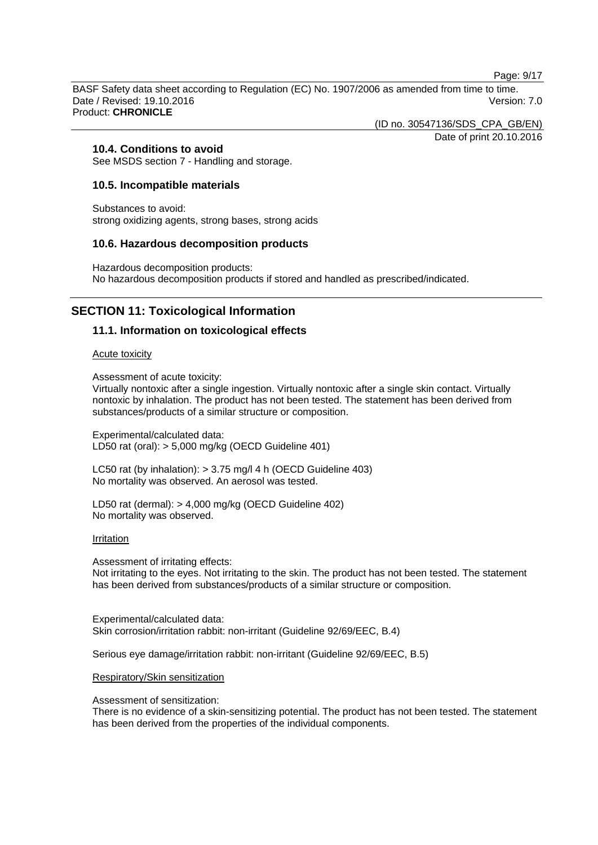Page: 9/17

BASF Safety data sheet according to Regulation (EC) No. 1907/2006 as amended from time to time. Date / Revised: 19.10.2016 **Version: 7.0** Product: **CHRONICLE**

(ID no. 30547136/SDS\_CPA\_GB/EN)

Date of print 20.10.2016

# **10.4. Conditions to avoid**

See MSDS section 7 - Handling and storage.

### **10.5. Incompatible materials**

Substances to avoid: strong oxidizing agents, strong bases, strong acids

### **10.6. Hazardous decomposition products**

Hazardous decomposition products: No hazardous decomposition products if stored and handled as prescribed/indicated.

# **SECTION 11: Toxicological Information**

### **11.1. Information on toxicological effects**

#### Acute toxicity

Assessment of acute toxicity:

Virtually nontoxic after a single ingestion. Virtually nontoxic after a single skin contact. Virtually nontoxic by inhalation. The product has not been tested. The statement has been derived from substances/products of a similar structure or composition.

Experimental/calculated data: LD50 rat (oral): > 5,000 mg/kg (OECD Guideline 401)

LC50 rat (by inhalation): > 3.75 mg/l 4 h (OECD Guideline 403) No mortality was observed. An aerosol was tested.

LD50 rat (dermal): > 4,000 mg/kg (OECD Guideline 402) No mortality was observed.

#### Irritation

Assessment of irritating effects: Not irritating to the eyes. Not irritating to the skin. The product has not been tested. The statement has been derived from substances/products of a similar structure or composition.

Experimental/calculated data: Skin corrosion/irritation rabbit: non-irritant (Guideline 92/69/EEC, B.4)

Serious eye damage/irritation rabbit: non-irritant (Guideline 92/69/EEC, B.5)

### Respiratory/Skin sensitization

Assessment of sensitization:

There is no evidence of a skin-sensitizing potential. The product has not been tested. The statement has been derived from the properties of the individual components.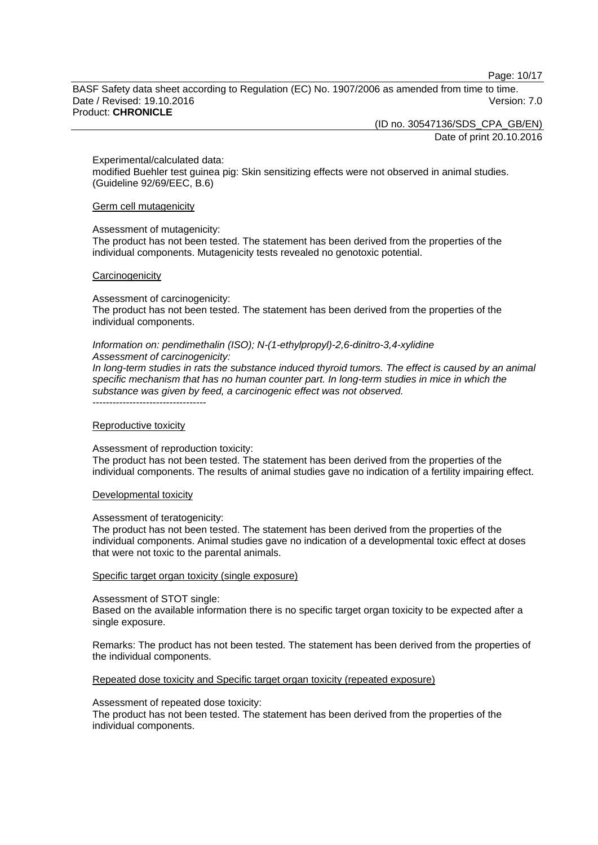Page: 10/17

BASF Safety data sheet according to Regulation (EC) No. 1907/2006 as amended from time to time. Date / Revised: 19.10.2016 **Version: 7.0** Product: **CHRONICLE**

(ID no. 30547136/SDS\_CPA\_GB/EN)

Date of print 20.10.2016

Experimental/calculated data:

modified Buehler test guinea pig: Skin sensitizing effects were not observed in animal studies. (Guideline 92/69/EEC, B.6)

Germ cell mutagenicity

#### Assessment of mutagenicity:

The product has not been tested. The statement has been derived from the properties of the individual components. Mutagenicity tests revealed no genotoxic potential.

#### **Carcinogenicity**

Assessment of carcinogenicity:

The product has not been tested. The statement has been derived from the properties of the individual components.

#### *Information on: pendimethalin (ISO); N-(1-ethylpropyl)-2,6-dinitro-3,4-xylidine Assessment of carcinogenicity:*

*In long-term studies in rats the substance induced thyroid tumors. The effect is caused by an animal specific mechanism that has no human counter part. In long-term studies in mice in which the substance was given by feed, a carcinogenic effect was not observed.* ----------------------------------

#### Reproductive toxicity

Assessment of reproduction toxicity:

The product has not been tested. The statement has been derived from the properties of the individual components. The results of animal studies gave no indication of a fertility impairing effect.

### Developmental toxicity

#### Assessment of teratogenicity:

The product has not been tested. The statement has been derived from the properties of the individual components. Animal studies gave no indication of a developmental toxic effect at doses that were not toxic to the parental animals.

#### Specific target organ toxicity (single exposure)

#### Assessment of STOT single:

Based on the available information there is no specific target organ toxicity to be expected after a single exposure.

Remarks: The product has not been tested. The statement has been derived from the properties of the individual components.

### Repeated dose toxicity and Specific target organ toxicity (repeated exposure)

#### Assessment of repeated dose toxicity:

The product has not been tested. The statement has been derived from the properties of the individual components.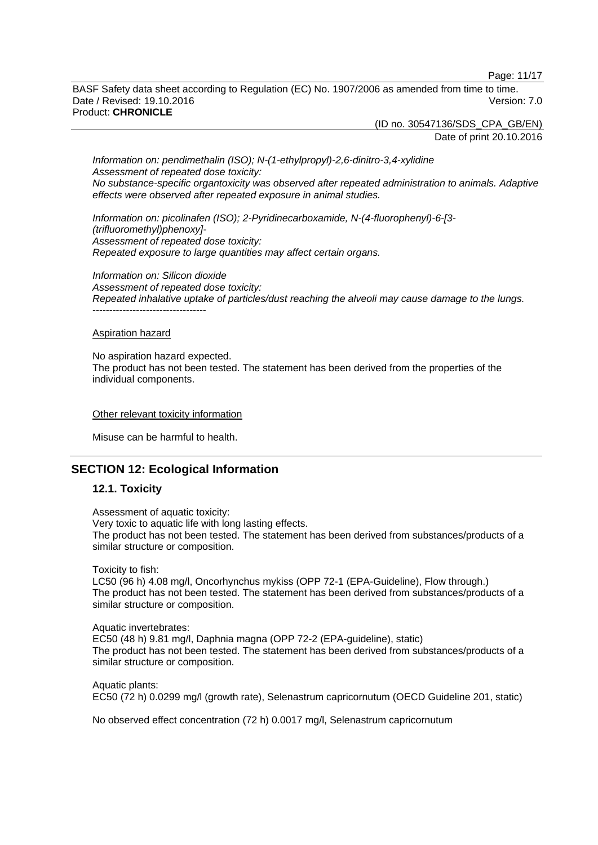Page: 11/17

BASF Safety data sheet according to Regulation (EC) No. 1907/2006 as amended from time to time. Date / Revised: 19.10.2016 **Version: 7.0** Product: **CHRONICLE**

> (ID no. 30547136/SDS\_CPA\_GB/EN) Date of print 20.10.2016

*Information on: pendimethalin (ISO); N-(1-ethylpropyl)-2,6-dinitro-3,4-xylidine Assessment of repeated dose toxicity: No substance-specific organtoxicity was observed after repeated administration to animals. Adaptive effects were observed after repeated exposure in animal studies.*

*Information on: picolinafen (ISO); 2-Pyridinecarboxamide, N-(4-fluorophenyl)-6-[3- (trifluoromethyl)phenoxy]- Assessment of repeated dose toxicity: Repeated exposure to large quantities may affect certain organs.*

*Information on: Silicon dioxide Assessment of repeated dose toxicity: Repeated inhalative uptake of particles/dust reaching the alveoli may cause damage to the lungs.* ----------------------------------

#### Aspiration hazard

No aspiration hazard expected. The product has not been tested. The statement has been derived from the properties of the individual components.

#### Other relevant toxicity information

Misuse can be harmful to health.

# **SECTION 12: Ecological Information**

### **12.1. Toxicity**

Assessment of aquatic toxicity: Very toxic to aquatic life with long lasting effects. The product has not been tested. The statement has been derived from substances/products of a similar structure or composition.

Toxicity to fish:

LC50 (96 h) 4.08 mg/l, Oncorhynchus mykiss (OPP 72-1 (EPA-Guideline), Flow through.) The product has not been tested. The statement has been derived from substances/products of a similar structure or composition.

Aquatic invertebrates: EC50 (48 h) 9.81 mg/l, Daphnia magna (OPP 72-2 (EPA-guideline), static) The product has not been tested. The statement has been derived from substances/products of a similar structure or composition.

Aquatic plants: EC50 (72 h) 0.0299 mg/l (growth rate), Selenastrum capricornutum (OECD Guideline 201, static)

No observed effect concentration (72 h) 0.0017 mg/l, Selenastrum capricornutum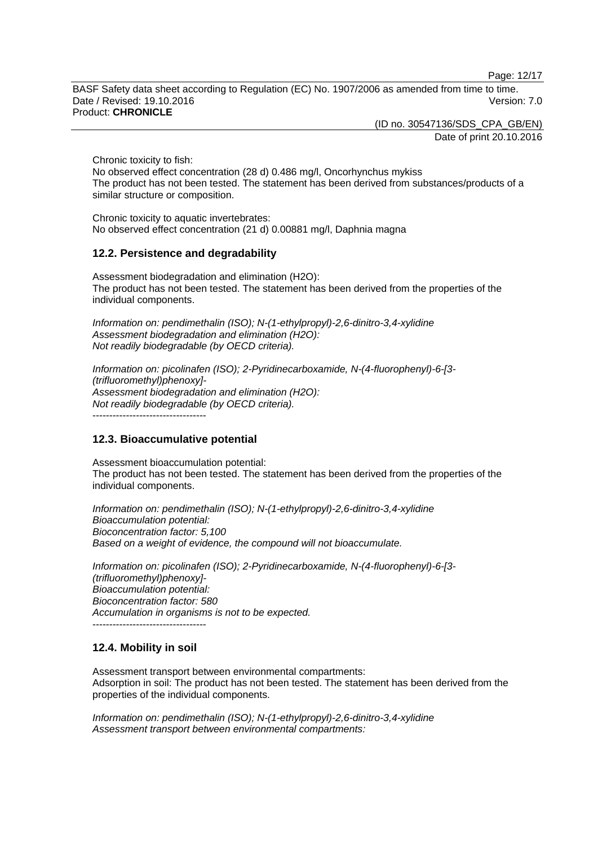Page: 12/17

BASF Safety data sheet according to Regulation (EC) No. 1907/2006 as amended from time to time. Date / Revised: 19.10.2016 **Version: 7.0** Product: **CHRONICLE**

(ID no. 30547136/SDS\_CPA\_GB/EN)

Date of print 20.10.2016

Chronic toxicity to fish:

No observed effect concentration (28 d) 0.486 mg/l, Oncorhynchus mykiss The product has not been tested. The statement has been derived from substances/products of a similar structure or composition.

Chronic toxicity to aquatic invertebrates: No observed effect concentration (21 d) 0.00881 mg/l, Daphnia magna

### **12.2. Persistence and degradability**

Assessment biodegradation and elimination (H2O): The product has not been tested. The statement has been derived from the properties of the individual components.

*Information on: pendimethalin (ISO); N-(1-ethylpropyl)-2,6-dinitro-3,4-xylidine Assessment biodegradation and elimination (H2O): Not readily biodegradable (by OECD criteria).*

*Information on: picolinafen (ISO); 2-Pyridinecarboxamide, N-(4-fluorophenyl)-6-[3- (trifluoromethyl)phenoxy]- Assessment biodegradation and elimination (H2O): Not readily biodegradable (by OECD criteria).*

----------------------------------

### **12.3. Bioaccumulative potential**

Assessment bioaccumulation potential: The product has not been tested. The statement has been derived from the properties of the individual components.

*Information on: pendimethalin (ISO); N-(1-ethylpropyl)-2,6-dinitro-3,4-xylidine Bioaccumulation potential: Bioconcentration factor: 5,100 Based on a weight of evidence, the compound will not bioaccumulate.*

*Information on: picolinafen (ISO); 2-Pyridinecarboxamide, N-(4-fluorophenyl)-6-[3- (trifluoromethyl)phenoxy]- Bioaccumulation potential: Bioconcentration factor: 580 Accumulation in organisms is not to be expected.* ----------------------------------

### **12.4. Mobility in soil**

Assessment transport between environmental compartments: Adsorption in soil: The product has not been tested. The statement has been derived from the properties of the individual components.

*Information on: pendimethalin (ISO); N-(1-ethylpropyl)-2,6-dinitro-3,4-xylidine Assessment transport between environmental compartments:*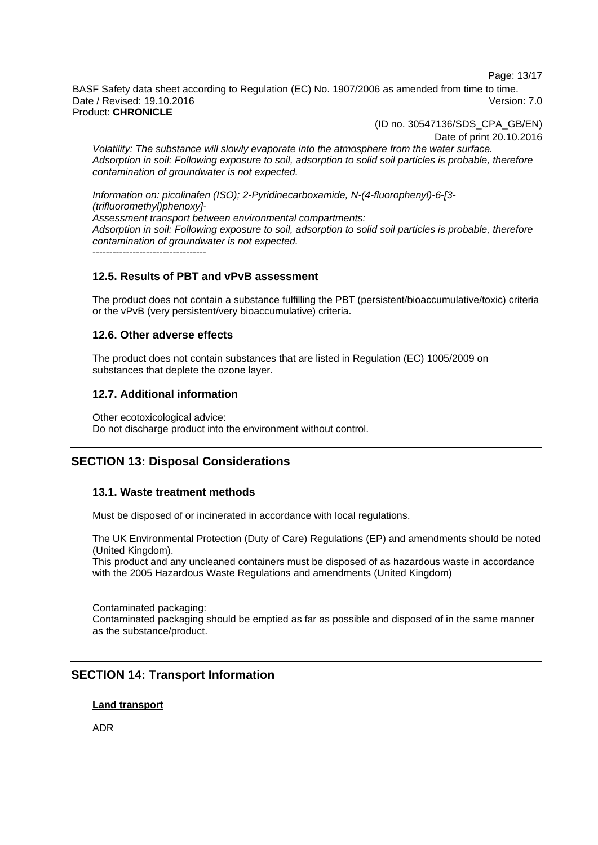Page: 13/17

BASF Safety data sheet according to Regulation (EC) No. 1907/2006 as amended from time to time. Date / Revised: 19.10.2016 **Version: 7.0** Product: **CHRONICLE**

(ID no. 30547136/SDS\_CPA\_GB/EN)

Date of print 20.10.2016

*Volatility: The substance will slowly evaporate into the atmosphere from the water surface. Adsorption in soil: Following exposure to soil, adsorption to solid soil particles is probable, therefore contamination of groundwater is not expected.*

*Information on: picolinafen (ISO); 2-Pyridinecarboxamide, N-(4-fluorophenyl)-6-[3- (trifluoromethyl)phenoxy]- Assessment transport between environmental compartments: Adsorption in soil: Following exposure to soil, adsorption to solid soil particles is probable, therefore contamination of groundwater is not expected.*  $-$ 

# **12.5. Results of PBT and vPvB assessment**

The product does not contain a substance fulfilling the PBT (persistent/bioaccumulative/toxic) criteria or the vPvB (very persistent/very bioaccumulative) criteria.

### **12.6. Other adverse effects**

The product does not contain substances that are listed in Regulation (EC) 1005/2009 on substances that deplete the ozone layer.

### **12.7. Additional information**

Other ecotoxicological advice: Do not discharge product into the environment without control.

# **SECTION 13: Disposal Considerations**

### **13.1. Waste treatment methods**

Must be disposed of or incinerated in accordance with local regulations.

The UK Environmental Protection (Duty of Care) Regulations (EP) and amendments should be noted (United Kingdom).

This product and any uncleaned containers must be disposed of as hazardous waste in accordance with the 2005 Hazardous Waste Regulations and amendments (United Kingdom)

Contaminated packaging: Contaminated packaging should be emptied as far as possible and disposed of in the same manner as the substance/product.

# **SECTION 14: Transport Information**

### **Land transport**

ADR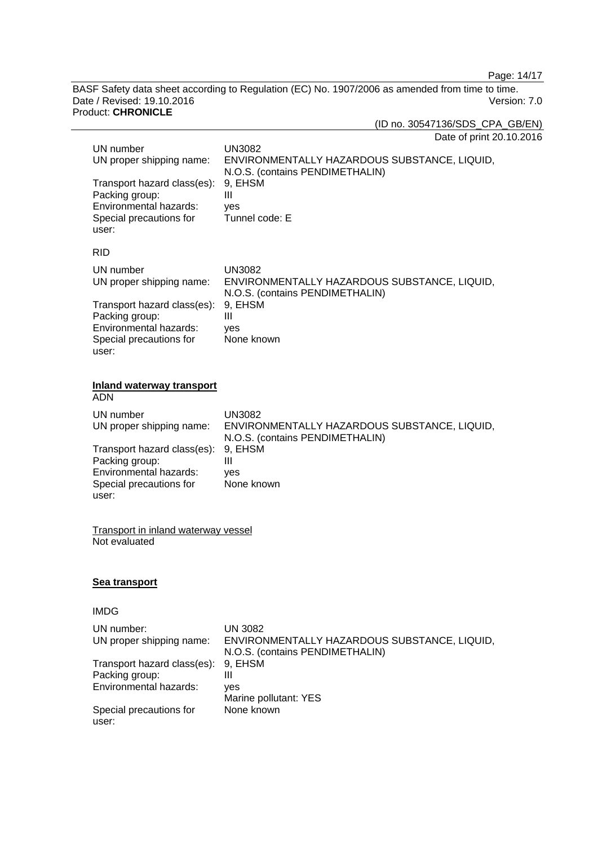Page: 14/17

BASF Safety data sheet according to Regulation (EC) No. 1907/2006 as amended from time to time.<br>Date / Revised: 19.10.2016 Version: 7.0 Date / Revised: 19.10.2016 Version: 7.0 Product: **CHRONICLE**

(ID no. 30547136/SDS\_CPA\_GB/EN)

| Date of print 20.10.2016 |  |
|--------------------------|--|
|--------------------------|--|

| UN number<br>UN proper shipping name:<br>Transport hazard class(es):<br>Packing group:<br>Environmental hazards:<br>Special precautions for<br>user: | <b>UN3082</b><br>ENVIRONMENTALLY HAZARDOUS SUBSTANCE, LIQUID,<br>N.O.S. (contains PENDIMETHALIN)<br>9, EHSM<br>$\mathbf{III}$<br>yes<br>Tunnel code: E |  |
|------------------------------------------------------------------------------------------------------------------------------------------------------|--------------------------------------------------------------------------------------------------------------------------------------------------------|--|
| <b>RID</b>                                                                                                                                           |                                                                                                                                                        |  |
| UN number<br>UN proper shipping name:                                                                                                                | <b>UN3082</b><br>ENVIRONMENTALLY HAZARDOUS SUBSTANCE, LIQUID,<br>N.O.S. (contains PENDIMETHALIN)                                                       |  |
| Transport hazard class(es):<br>Packing group:<br>Environmental hazards:<br>Special precautions for<br>user:                                          | 9, EHSM<br>$\mathbf{III}$<br>yes<br>None known                                                                                                         |  |
| <b>Inland waterway transport</b><br><b>ADN</b>                                                                                                       |                                                                                                                                                        |  |
| UN number<br>UN proper shipping name:                                                                                                                | <b>UN3082</b><br>ENVIRONMENTALLY HAZARDOUS SUBSTANCE, LIQUID,<br>N.O.S. (contains PENDIMETHALIN)                                                       |  |
| Transport hazard class(es):<br>Packing group:<br>Environmental hazards:<br>Special precautions for<br>user:                                          | 9, EHSM<br>$\mathbf{III}$<br>yes<br>None known                                                                                                         |  |
| <b>Transport in inland waterway vessel</b><br>Not evaluated                                                                                          |                                                                                                                                                        |  |
| <u>Sea transport</u>                                                                                                                                 |                                                                                                                                                        |  |
| <b>IMDG</b>                                                                                                                                          |                                                                                                                                                        |  |
| UN number:<br>UN proper shipping name:                                                                                                               | <b>UN 3082</b><br>ENVIRONMENTALLY HAZARDOUS SUBSTANCE, LIQUID,<br>N.O.S. (contains PENDIMETHALIN)                                                      |  |
| Transport hazard class(es):<br>Packing group:<br>Environmental hazards:                                                                              | 9, EHSM<br>Ш                                                                                                                                           |  |
|                                                                                                                                                      | yes<br>Marine pollutant: YES                                                                                                                           |  |
| Special precautions for<br>user:                                                                                                                     | None known                                                                                                                                             |  |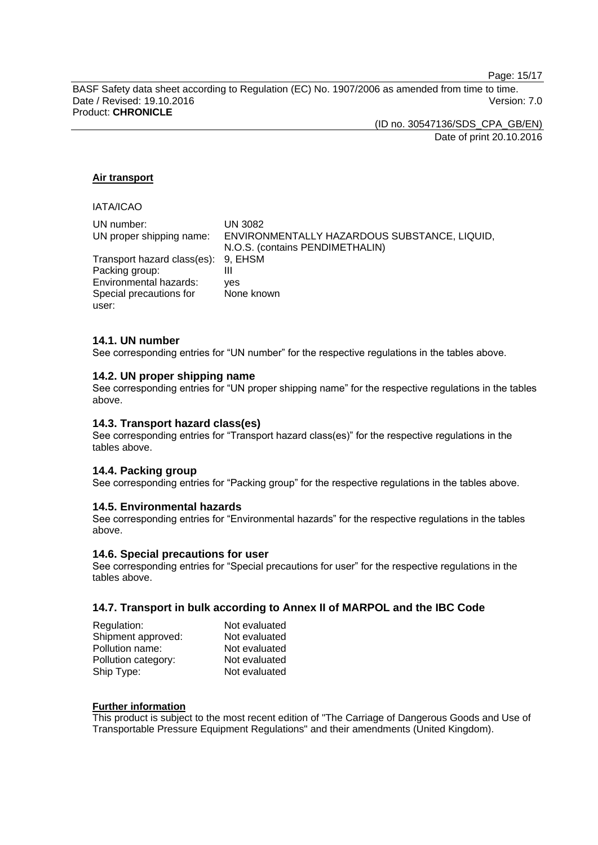Page: 15/17

BASF Safety data sheet according to Regulation (EC) No. 1907/2006 as amended from time to time. Date / Revised: 19.10.2016 **Version: 7.0** Product: **CHRONICLE**

> (ID no. 30547136/SDS\_CPA\_GB/EN) Date of print 20.10.2016

### **Air transport**

# IATA/ICAO

| UN number:<br>UN proper shipping name: | UN 3082<br>ENVIRONMENTALLY HAZARDOUS SUBSTANCE, LIQUID, |
|----------------------------------------|---------------------------------------------------------|
|                                        | N.O.S. (contains PENDIMETHALIN)                         |
| Transport hazard class(es): 9, EHSM    |                                                         |
| Packing group:                         | Ш                                                       |
| Environmental hazards:                 | ves                                                     |
| Special precautions for                | None known                                              |
| user:                                  |                                                         |

### **14.1. UN number**

See corresponding entries for "UN number" for the respective regulations in the tables above.

### **14.2. UN proper shipping name**

See corresponding entries for "UN proper shipping name" for the respective regulations in the tables above.

### **14.3. Transport hazard class(es)**

See corresponding entries for "Transport hazard class(es)" for the respective regulations in the tables above.

### **14.4. Packing group**

See corresponding entries for "Packing group" for the respective regulations in the tables above.

### **14.5. Environmental hazards**

See corresponding entries for "Environmental hazards" for the respective regulations in the tables above.

### **14.6. Special precautions for user**

See corresponding entries for "Special precautions for user" for the respective regulations in the tables above.

### **14.7. Transport in bulk according to Annex II of MARPOL and the IBC Code**

| Regulation:         | Not evaluated |
|---------------------|---------------|
| Shipment approved:  | Not evaluated |
| Pollution name:     | Not evaluated |
| Pollution category: | Not evaluated |
| Ship Type:          | Not evaluated |

#### **Further information**

This product is subject to the most recent edition of "The Carriage of Dangerous Goods and Use of Transportable Pressure Equipment Regulations" and their amendments (United Kingdom).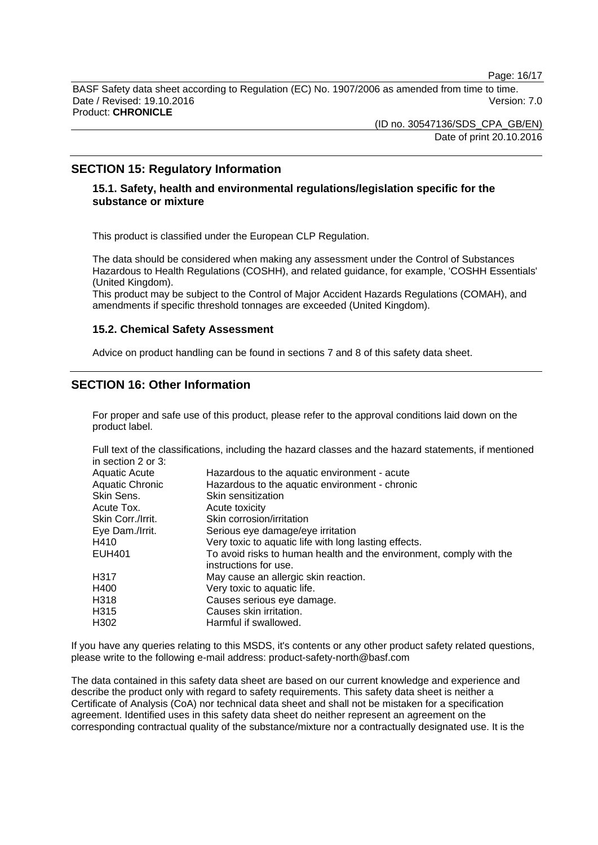Page: 16/17

BASF Safety data sheet according to Regulation (EC) No. 1907/2006 as amended from time to time. Date / Revised: 19.10.2016 **Version: 7.0** Product: **CHRONICLE**

> (ID no. 30547136/SDS\_CPA\_GB/EN) Date of print 20.10.2016

# **SECTION 15: Regulatory Information**

### **15.1. Safety, health and environmental regulations/legislation specific for the substance or mixture**

This product is classified under the European CLP Regulation.

The data should be considered when making any assessment under the Control of Substances Hazardous to Health Regulations (COSHH), and related guidance, for example, 'COSHH Essentials' (United Kingdom).

This product may be subject to the Control of Major Accident Hazards Regulations (COMAH), and amendments if specific threshold tonnages are exceeded (United Kingdom).

### **15.2. Chemical Safety Assessment**

Advice on product handling can be found in sections 7 and 8 of this safety data sheet.

# **SECTION 16: Other Information**

For proper and safe use of this product, please refer to the approval conditions laid down on the product label.

Full text of the classifications, including the hazard classes and the hazard statements, if mentioned in section 2 or 3:

| Hazardous to the aquatic environment - acute                                                 |
|----------------------------------------------------------------------------------------------|
| Hazardous to the aquatic environment - chronic                                               |
| Skin sensitization                                                                           |
| Acute toxicity                                                                               |
| Skin corrosion/irritation                                                                    |
| Serious eye damage/eye irritation                                                            |
| Very toxic to aquatic life with long lasting effects.                                        |
| To avoid risks to human health and the environment, comply with the<br>instructions for use. |
| May cause an allergic skin reaction.                                                         |
| Very toxic to aquatic life.                                                                  |
| Causes serious eye damage.                                                                   |
| Causes skin irritation.                                                                      |
| Harmful if swallowed.                                                                        |
|                                                                                              |

If you have any queries relating to this MSDS, it's contents or any other product safety related questions, please write to the following e-mail address: product-safety-north@basf.com

The data contained in this safety data sheet are based on our current knowledge and experience and describe the product only with regard to safety requirements. This safety data sheet is neither a Certificate of Analysis (CoA) nor technical data sheet and shall not be mistaken for a specification agreement. Identified uses in this safety data sheet do neither represent an agreement on the corresponding contractual quality of the substance/mixture nor a contractually designated use. It is the